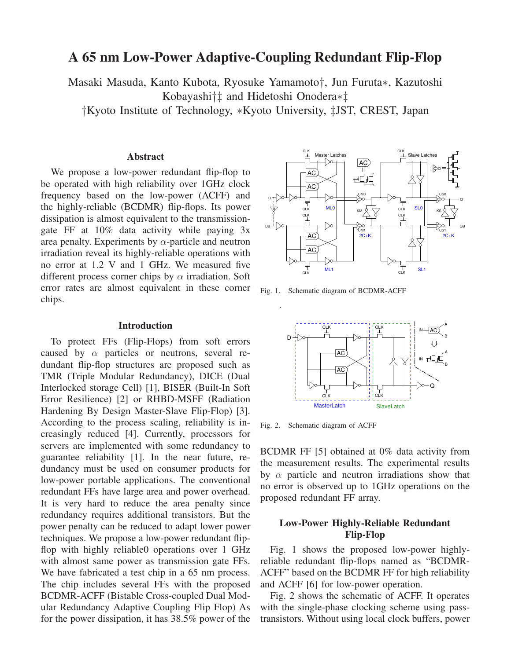# **A 65 nm Low-Power Adaptive-Coupling Redundant Flip-Flop**

Masaki Masuda, Kanto Kubota, Ryosuke Yamamoto†, Jun Furuta∗, Kazutoshi Kobayashi†‡ and Hidetoshi Onodera∗‡

†Kyoto Institute of Technology, ∗Kyoto University, ‡JST, CREST, Japan

## **Abstract**

We propose a low-power redundant flip-flop to be operated with high reliability over 1GHz clock frequency based on the low-power (ACFF) and the highly-reliable (BCDMR) flip-flops. Its power dissipation is almost equivalent to the transmissiongate FF at 10% data activity while paying 3x area penalty. Experiments by  $\alpha$ -particle and neutron irradiation reveal its highly-reliable operations with no error at 1.2 V and 1 GHz. We measured five different process corner chips by  $\alpha$  irradiation. Soft error rates are almost equivalent in these corner chips.

#### **Introduction**

To protect FFs (Flip-Flops) from soft errors caused by  $\alpha$  particles or neutrons, several redundant flip-flop structures are proposed such as TMR (Triple Modular Redundancy), DICE (Dual Interlocked storage Cell) [1], BISER (Built-In Soft Error Resilience) [2] or RHBD-MSFF (Radiation Hardening By Design Master-Slave Flip-Flop) [3]. According to the process scaling, reliability is increasingly reduced [4]. Currently, processors for servers are implemented with some redundancy to guarantee reliability [1]. In the near future, redundancy must be used on consumer products for low-power portable applications. The conventional redundant FFs have large area and power overhead. It is very hard to reduce the area penalty since redundancy requires additional transistors. But the power penalty can be reduced to adapt lower power techniques. We propose a low-power redundant flipflop with highly reliable0 operations over 1 GHz with almost same power as transmission gate FFs. We have fabricated a test chip in a 65 nm process. The chip includes several FFs with the proposed BCDMR-ACFF (Bistable Cross-coupled Dual Modular Redundancy Adaptive Coupling Flip Flop) As for the power dissipation, it has 38.5% power of the



Fig. 1. Schematic diagram of BCDMR-ACFF



Fig. 2. Schematic diagram of ACFF

BCDMR FF [5] obtained at 0% data activity from the measurement results. The experimental results by  $\alpha$  particle and neutron irradiations show that no error is observed up to 1GHz operations on the proposed redundant FF array.

## **Low-Power Highly-Reliable Redundant Flip-Flop**

Fig. 1 shows the proposed low-power highlyreliable redundant flip-flops named as "BCDMR-ACFF" based on the BCDMR FF for high reliability and ACFF [6] for low-power operation.

Fig. 2 shows the schematic of ACFF. It operates with the single-phase clocking scheme using passtransistors. Without using local clock buffers, power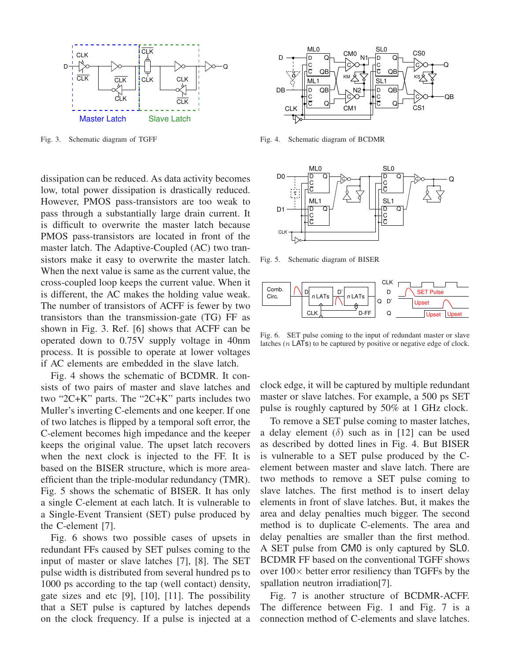

Fig. 3. Schematic diagram of TGFF

dissipation can be reduced. As data activity becomes low, total power dissipation is drastically reduced. However, PMOS pass-transistors are too weak to pass through a substantially large drain current. It is difficult to overwrite the master latch because PMOS pass-transistors are located in front of the master latch. The Adaptive-Coupled (AC) two transistors make it easy to overwrite the master latch. When the next value is same as the current value, the cross-coupled loop keeps the current value. When it is different, the AC makes the holding value weak. The number of transistors of ACFF is fewer by two transistors than the transmission-gate (TG) FF as shown in Fig. 3. Ref. [6] shows that ACFF can be operated down to 0.75V supply voltage in 40nm process. It is possible to operate at lower voltages if AC elements are embedded in the slave latch.

Fig. 4 shows the schematic of BCDMR. It consists of two pairs of master and slave latches and two "2C+K" parts. The "2C+K" parts includes two Muller's inverting C-elements and one keeper. If one of two latches is flipped by a temporal soft error, the C-element becomes high impedance and the keeper keeps the original value. The upset latch recovers when the next clock is injected to the FF. It is based on the BISER structure, which is more areaefficient than the triple-modular redundancy (TMR). Fig. 5 shows the schematic of BISER. It has only a single C-element at each latch. It is vulnerable to a Single-Event Transient (SET) pulse produced by the C-element [7].

Fig. 6 shows two possible cases of upsets in redundant FFs caused by SET pulses coming to the input of master or slave latches [7], [8]. The SET pulse width is distributed from several hundred ps to 1000 ps according to the tap (well contact) density, gate sizes and etc [9], [10], [11]. The possibility that a SET pulse is captured by latches depends on the clock frequency. If a pulse is injected at a



Fig. 4. Schematic diagram of BCDMR



Fig. 5. Schematic diagram of BISER



Fig. 6. SET pulse coming to the input of redundant master or slave latches  $(n \text{ LATs})$  to be captured by positive or negative edge of clock.

clock edge, it will be captured by multiple redundant master or slave latches. For example, a 500 ps SET pulse is roughly captured by 50% at 1 GHz clock.

To remove a SET pulse coming to master latches, a delay element ( $\delta$ ) such as in [12] can be used as described by dotted lines in Fig. 4. But BISER is vulnerable to a SET pulse produced by the Celement between master and slave latch. There are two methods to remove a SET pulse coming to slave latches. The first method is to insert delay elements in front of slave latches. But, it makes the area and delay penalties much bigger. The second method is to duplicate C-elements. The area and delay penalties are smaller than the first method. A SET pulse from CM0 is only captured by SL0. BCDMR FF based on the conventional TGFF shows over  $100\times$  better error resiliency than TGFFs by the spallation neutron irradiation[7].

Fig. 7 is another structure of BCDMR-ACFF. The difference between Fig. 1 and Fig. 7 is a connection method of C-elements and slave latches.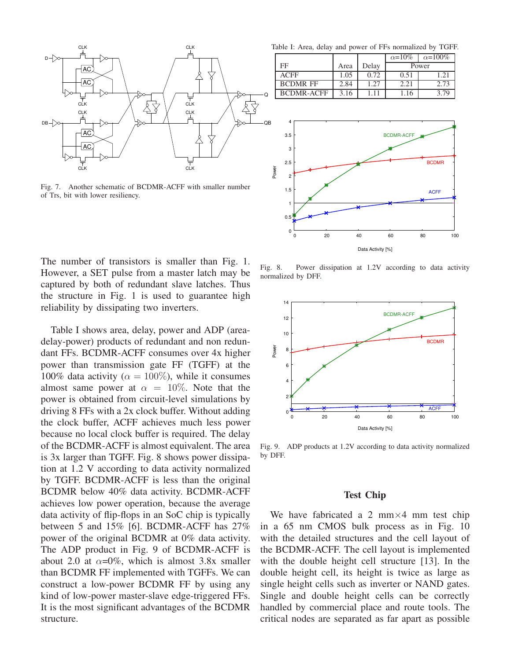

Fig. 7. Another schematic of BCDMR-ACFF with smaller number of Trs, bit with lower resiliency.

The number of transistors is smaller than Fig. 1. However, a SET pulse from a master latch may be captured by both of redundant slave latches. Thus the structure in Fig. 1 is used to guarantee high reliability by dissipating two inverters.

Table I shows area, delay, power and ADP (areadelay-power) products of redundant and non redundant FFs. BCDMR-ACFF consumes over 4x higher power than transmission gate FF (TGFF) at the 100% data activity ( $\alpha = 100\%$ ), while it consumes almost same power at  $\alpha = 10\%$ . Note that the power is obtained from circuit-level simulations by driving 8 FFs with a 2x clock buffer. Without adding the clock buffer, ACFF achieves much less power because no local clock buffer is required. The delay of the BCDMR-ACFF is almost equivalent. The area is 3x larger than TGFF. Fig. 8 shows power dissipation at 1.2 V according to data activity normalized by TGFF. BCDMR-ACFF is less than the original BCDMR below 40% data activity. BCDMR-ACFF achieves low power operation, because the average data activity of flip-flops in an SoC chip is typically between 5 and 15% [6]. BCDMR-ACFF has 27% power of the original BCDMR at 0% data activity. The ADP product in Fig. 9 of BCDMR-ACFF is about 2.0 at  $\alpha = 0\%$ , which is almost 3.8x smaller than BCDMR FF implemented with TGFFs. We can construct a low-power BCDMR FF by using any kind of low-power master-slave edge-triggered FFs. It is the most significant advantages of the BCDMR structure.

Table I: Area, delay and power of FFs normalized by TGFF.

|                   |      |       | $\alpha = 10\%$ | $\alpha = 100\%$ |
|-------------------|------|-------|-----------------|------------------|
| FF                | Area | Delay | Power           |                  |
| <b>ACFF</b>       | 1.05 | 0.72  | 0.51            | $1.2^{\circ}$    |
| <b>BCDMR FF</b>   | 2.84 | 1.27  | 2.21            | 2.73             |
| <b>BCDMR-ACFF</b> | 3.16 | 1.11  | 1.16            | 3 70             |



Fig. 8. Power dissipation at 1.2V according to data activity normalized by DFF.



Fig. 9. ADP products at 1.2V according to data activity normalized by DFF.

#### **Test Chip**

We have fabricated a 2 mm $\times$ 4 mm test chip in a 65 nm CMOS bulk process as in Fig. 10 with the detailed structures and the cell layout of the BCDMR-ACFF. The cell layout is implemented with the double height cell structure [13]. In the double height cell, its height is twice as large as single height cells such as inverter or NAND gates. Single and double height cells can be correctly handled by commercial place and route tools. The critical nodes are separated as far apart as possible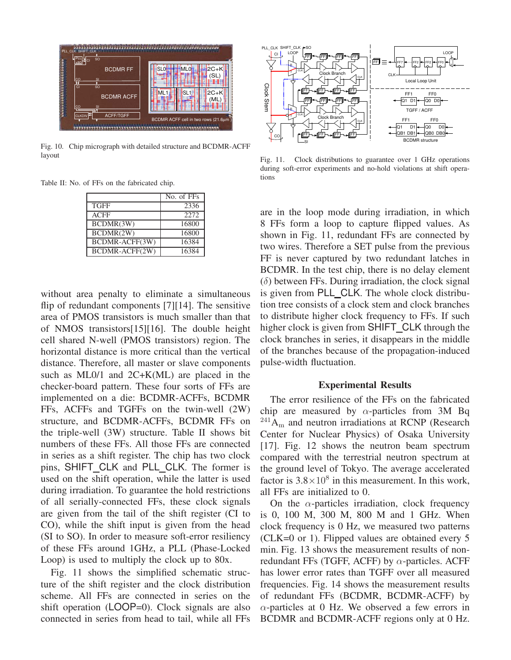

Fig. 10. Chip micrograph with detailed structure and BCDMR-ACFF layout

Table II: No. of FFs on the fabricated chip.

|                | No. of FFs |
|----------------|------------|
| <b>TGFF</b>    | 2336       |
| <b>ACFF</b>    | 2272       |
| BCDMR(3W)      | 16800      |
| BCDMR(2W)      | 16800      |
| BCDMR-ACFF(3W) | 16384      |
| BCDMR-ACFF(2W) | 16384      |

without area penalty to eliminate a simultaneous flip of redundant components [7][14]. The sensitive area of PMOS transistors is much smaller than that of NMOS transistors[15][16]. The double height cell shared N-well (PMOS transistors) region. The horizontal distance is more critical than the vertical distance. Therefore, all master or slave components such as ML0/1 and 2C+K(ML) are placed in the checker-board pattern. These four sorts of FFs are implemented on a die: BCDMR-ACFFs, BCDMR FFs, ACFFs and TGFFs on the twin-well (2W) structure, and BCDMR-ACFFs, BCDMR FFs on the triple-well (3W) structure. Table II shows bit numbers of these FFs. All those FFs are connected in series as a shift register. The chip has two clock pins, SHIFT\_CLK and PLL\_CLK. The former is used on the shift operation, while the latter is used during irradiation. To guarantee the hold restrictions of all serially-connected FFs, these clock signals are given from the tail of the shift register (CI to CO), while the shift input is given from the head (SI to SO). In order to measure soft-error resiliency of these FFs around 1GHz, a PLL (Phase-Locked Loop) is used to multiply the clock up to 80x.

Fig. 11 shows the simplified schematic structure of the shift register and the clock distribution scheme. All FFs are connected in series on the shift operation (LOOP=0). Clock signals are also connected in series from head to tail, while all FFs



Fig. 11. Clock distributions to guarantee over 1 GHz operations during soft-error experiments and no-hold violations at shift operations

are in the loop mode during irradiation, in which 8 FFs form a loop to capture flipped values. As shown in Fig. 11, redundant FFs are connected by two wires. Therefore a SET pulse from the previous FF is never captured by two redundant latches in BCDMR. In the test chip, there is no delay element  $(\delta)$  between FFs. During irradiation, the clock signal is given from PLL CLK. The whole clock distribution tree consists of a clock stem and clock branches to distribute higher clock frequency to FFs. If such higher clock is given from SHIFT CLK through the clock branches in series, it disappears in the middle of the branches because of the propagation-induced pulse-width fluctuation.

#### **Experimental Results**

The error resilience of the FFs on the fabricated chip are measured by  $\alpha$ -particles from 3M Bq  $^{241}A_m$  and neutron irradiations at RCNP (Research Center for Nuclear Physics) of Osaka University [17]. Fig. 12 shows the neutron beam spectrum compared with the terrestrial neutron spectrum at the ground level of Tokyo. The average accelerated factor is  $3.8 \times 10^8$  in this measurement. In this work, all FFs are initialized to 0.

On the  $\alpha$ -particles irradiation, clock frequency is 0, 100 M, 300 M, 800 M and 1 GHz. When clock frequency is 0 Hz, we measured two patterns (CLK=0 or 1). Flipped values are obtained every 5 min. Fig. 13 shows the measurement results of nonredundant FFs (TGFF, ACFF) by  $\alpha$ -particles. ACFF has lower error rates than TGFF over all measured frequencies. Fig. 14 shows the measurement results of redundant FFs (BCDMR, BCDMR-ACFF) by  $\alpha$ -particles at 0 Hz. We observed a few errors in BCDMR and BCDMR-ACFF regions only at 0 Hz.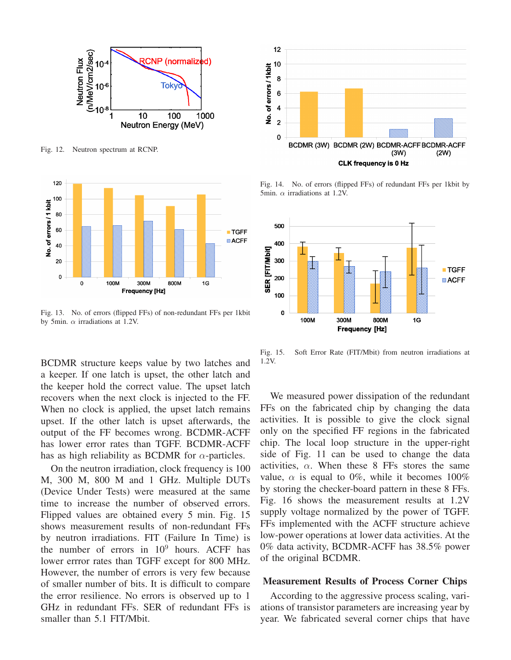

Fig. 12. Neutron spectrum at RCNP.



Fig. 13. No. of errors (flipped FFs) of non-redundant FFs per 1kbit by 5min.  $\alpha$  irradiations at 1.2V.

BCDMR structure keeps value by two latches and a keeper. If one latch is upset, the other latch and the keeper hold the correct value. The upset latch recovers when the next clock is injected to the FF. When no clock is applied, the upset latch remains upset. If the other latch is upset afterwards, the output of the FF becomes wrong. BCDMR-ACFF has lower error rates than TGFF. BCDMR-ACFF has as high reliability as BCDMR for  $\alpha$ -particles.

On the neutron irradiation, clock frequency is 100 M, 300 M, 800 M and 1 GHz. Multiple DUTs (Device Under Tests) were measured at the same time to increase the number of observed errors. Flipped values are obtained every 5 min. Fig. 15 shows measurement results of non-redundant FFs by neutron irradiations. FIT (Failure In Time) is the number of errors in  $10^9$  hours. ACFF has lower errror rates than TGFF except for 800 MHz. However, the number of errors is very few because of smaller number of bits. It is difficult to compare the error resilience. No errors is observed up to 1 GHz in redundant FFs. SER of redundant FFs is smaller than 5.1 FIT/Mbit.



Fig. 14. No. of errors (flipped FFs) of redundant FFs per 1kbit by 5min.  $\alpha$  irradiations at 1.2V.



Fig. 15. Soft Error Rate (FIT/Mbit) from neutron irradiations at 1.2V.

We measured power dissipation of the redundant FFs on the fabricated chip by changing the data activities. It is possible to give the clock signal only on the specified FF regions in the fabricated chip. The local loop structure in the upper-right side of Fig. 11 can be used to change the data activities,  $\alpha$ . When these 8 FFs stores the same value,  $\alpha$  is equal to 0%, while it becomes 100% by storing the checker-board pattern in these 8 FFs. Fig. 16 shows the measurement results at 1.2V supply voltage normalized by the power of TGFF. FFs implemented with the ACFF structure achieve low-power operations at lower data activities. At the 0% data activity, BCDMR-ACFF has 38.5% power of the original BCDMR.

#### **Measurement Results of Process Corner Chips**

According to the aggressive process scaling, variations of transistor parameters are increasing year by year. We fabricated several corner chips that have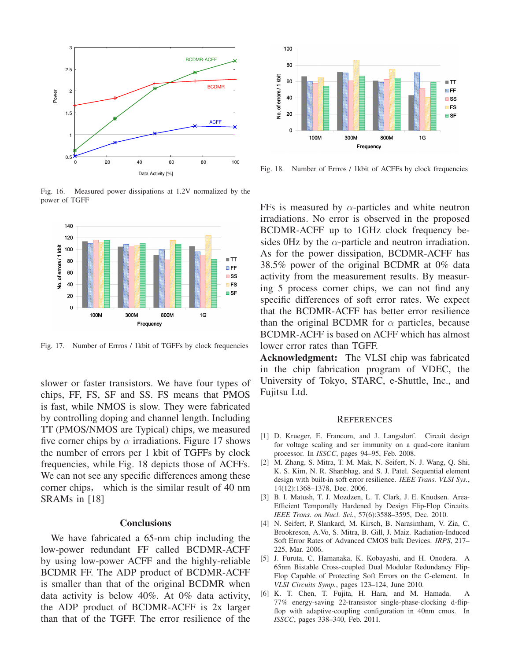

Fig. 16. Measured power dissipations at 1.2V normalized by the power of TGFF



Fig. 17. Number of Errros / 1kbit of TGFFs by clock frequencies

slower or faster transistors. We have four types of chips, FF, FS, SF and SS. FS means that PMOS is fast, while NMOS is slow. They were fabricated by controlling doping and channel length. Including TT (PMOS/NMOS are Typical) chips, we measured five corner chips by  $\alpha$  irradiations. Figure 17 shows the number of errors per 1 kbit of TGFFs by clock frequencies, while Fig. 18 depicts those of ACFFs. We can not see any specific differences among these corner chips, which is the similar result of 40 nm SRAMs in [18]

### **Conclusions**

We have fabricated a 65-nm chip including the low-power redundant FF called BCDMR-ACFF by using low-power ACFF and the highly-reliable BCDMR FF. The ADP product of BCDMR-ACFF is smaller than that of the original BCDMR when data activity is below 40%. At 0% data activity, the ADP product of BCDMR-ACFF is 2x larger than that of the TGFF. The error resilience of the



Fig. 18. Number of Errros / 1kbit of ACFFs by clock frequencies

FFs is measured by  $\alpha$ -particles and white neutron irradiations. No error is observed in the proposed BCDMR-ACFF up to 1GHz clock frequency besides 0Hz by the  $\alpha$ -particle and neutron irradiation. As for the power dissipation, BCDMR-ACFF has 38.5% power of the original BCDMR at 0% data activity from the measurement results. By measuring 5 process corner chips, we can not find any specific differences of soft error rates. We expect that the BCDMR-ACFF has better error resilience than the original BCDMR for  $\alpha$  particles, because BCDMR-ACFF is based on ACFF which has almost lower error rates than TGFF.

**Acknowledgment:** The VLSI chip was fabricated in the chip fabrication program of VDEC, the University of Tokyo, STARC, e-Shuttle, Inc., and Fujitsu Ltd.

#### **REFERENCES**

- [1] D. Krueger, E. Francom, and J. Langsdorf. Circuit design for voltage scaling and ser immunity on a quad-core itanium processor. In *ISSCC*, pages 94–95, Feb. 2008.
- [2] M. Zhang, S. Mitra, T. M. Mak, N. Seifert, N. J. Wang, Q. Shi, K. S. Kim, N. R. Shanbhag, and S. J. Patel. Sequential element design with built-in soft error resilience. *IEEE Trans. VLSI Sys.*, 14(12):1368–1378, Dec. 2006.
- [3] B. I. Matush, T. J. Mozdzen, L. T. Clark, J. E. Knudsen. Area-Efficient Temporally Hardened by Design Flip-Flop Circuits. *IEEE Trans. on Nucl. Sci.*, 57(6):3588–3595, Dec. 2010.
- [4] N. Seifert, P. Slankard, M. Kirsch, B. Narasimham, V. Zia, C. Brookreson, A.Vo, S. Mitra, B. Gill, J. Maiz. Radiation-Induced Soft Error Rates of Advanced CMOS bulk Devices. *IRPS*, 217– 225, Mar. 2006.
- [5] J. Furuta, C. Hamanaka, K. Kobayashi, and H. Onodera. A 65nm Bistable Cross-coupled Dual Modular Redundancy Flip-Flop Capable of Protecting Soft Errors on the C-element. In *VLSI Circuits Symp.*, pages 123–124, June 2010.
- [6] K. T. Chen, T. Fujita, H. Hara, and M. Hamada. A 77% energy-saving 22-transistor single-phase-clocking d-flipflop with adaptive-coupling configuration in 40nm cmos. In *ISSCC*, pages 338–340, Feb. 2011.